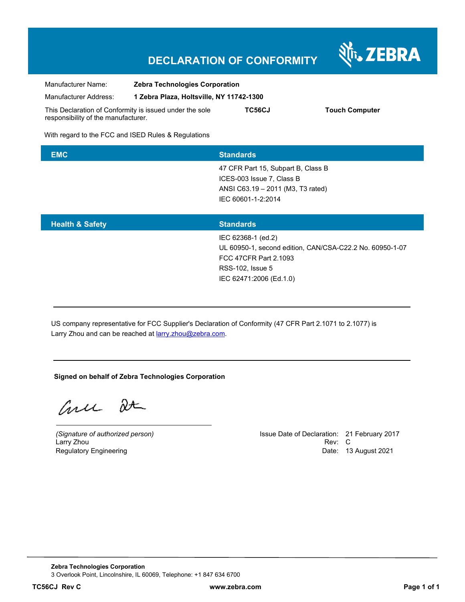## **DECLARATION OF CONFORMITY**



With regard to the FCC and ISED Rules & Regulations

| <b>EMC</b> | <b>Standards</b>                   |
|------------|------------------------------------|
|            | 47 CFR Part 15, Subpart B, Class B |
|            | ICES-003 Issue 7, Class B          |
|            | ANSI C63.19 - 2011 (M3, T3 rated)  |
|            | IEC 60601-1-2:2014                 |
|            |                                    |
|            |                                    |

| <b>Health &amp; Safety</b> | <b>Standards</b>                                         |
|----------------------------|----------------------------------------------------------|
|                            | IEC 62368-1 (ed.2)                                       |
|                            | UL 60950-1, second edition, CAN/CSA-C22.2 No. 60950-1-07 |
|                            | FCC 47CFR Part 2.1093                                    |
|                            | RSS-102, Issue 5                                         |
|                            | IEC 62471:2006 (Ed.1.0)                                  |
|                            |                                                          |

US company representative for FCC Supplier's Declaration of Conformity (47 CFR Part 2.1071 to 2.1077) is Larry Zhou and can be reached at **larry**.zhou@zebra.com.

## **Signed on behalf of Zebra Technologies Corporation**

Curre De

Larry Zhou

*(Signature of authorized person)* Issue Date of Declaration: 21 February 2017 Regulatory Engineering **Date: 13 August 2021 Date: 13 August 2021** 

N<sub>T</sub>, ZEBRA